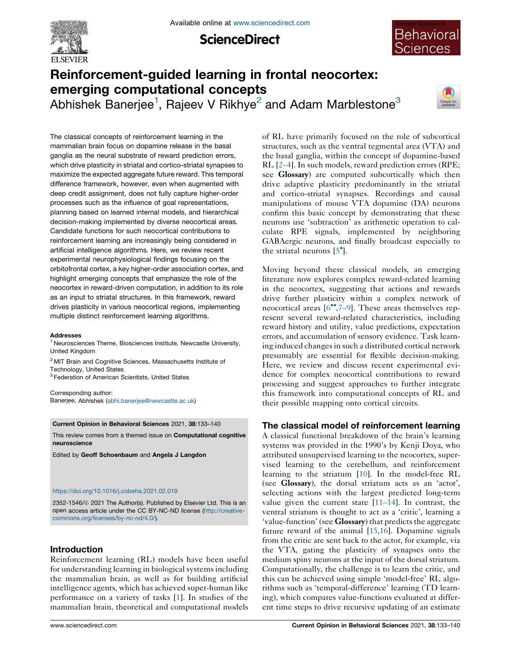

**ScienceDirect** 



# Reinforcement-guided learning in frontal neocortex: emerging computational concepts

Abhishek Banerjee<sup>1</sup>, Rajeev V Rikhye<sup>2</sup> and Adam Marblestone<sup>3</sup>



The classical concepts of reinforcement learning in the mammalian brain focus on dopamine release in the basal ganglia as the neural substrate of reward prediction errors, which drive plasticity in striatal and cortico-striatal synapses to maximize the expected aggregate future reward. This temporal difference framework, however, even when augmented with deep credit assignment, does not fully capture higher-order processes such as the influence of goal representations, planning based on learned internal models, and hierarchical decision-making implemented by diverse neocortical areas. Candidate functions for such neocortical contributions to reinforcement learning are increasingly being considered in artificial intelligence algorithms. Here, we review recent experimental neurophysiological findings focusing on the orbitofrontal cortex, a key higher-order association cortex, and highlight emerging concepts that emphasize the role of the neocortex in reward-driven computation, in addition to its role as an input to striatal structures. In this framework, reward drives plasticity in various neocortical regions, implementing multiple distinct reinforcement learning algorithms.

#### Addresses

<sup>1</sup> Neurosciences Theme, Biosciences Institute, Newcastle University, United Kingdom

<sup>2</sup> MIT Brain and Cognitive Sciences, Massachusetts Institute of Technology, United States

<sup>3</sup> Federation of American Scientists, United States

Corresponding author: Banerjee, Abhishek [\(abhi.banerjee@newcastle.ac.uk\)](mailto:abhi.banerjee@newcastle.ac.uk)

Current Opinion in Behavioral Sciences 2021, 38:133–140

This review comes from a themed issue on Computational cognitive neuroscience

Edited by Geoff Schoenbaum and Angela J Langdon

#### <https://doi.org/10.1016/j.cobeha.2021.02.019>

2352-1546/@ 2021 The Author(s). Published by Elsevier Ltd. This is an open access article under the CC BY-NC-ND license [\(http://creative](http://creativecommons.org/licenses/by-nc-nd/4.0/)[commons.org/licenses/by-nc-nd/4.0/](http://creativecommons.org/licenses/by-nc-nd/4.0/)).

# Introduction

Reinforcement learning (RL) models have been useful for understanding learning in biological systems including the mammalian brain, as well as for building artificial intelligence agents, which has achieved super-human like performance on a variety of tasks [[1\]](#page-5-0). In studies of the mammalian brain, theoretical and computational models of RL have primarily focused on the role of subcortical structures, such as the ventral tegmental area (VTA) and the basal ganglia, within the concept of dopamine-based RL [\[2–4](#page-5-0)]. In such models, reward prediction errors (RPE; see Glossary) are computed subcortically which then drive adaptive plasticity predominantly in the striatal and cortico-striatal synapses. Recordings and causal manipulations of mouse VTA dopamine (DA) neurons confirm this basic concept by demonstrating that these neurons use 'subtraction' as arithmetic operation to calculate RPE signals, implemented by neighboring GABAergic neurons, and finally broadcast especially to the striatal neurons  $[5^{\bullet}]$  $[5^{\bullet}]$ .

Moving beyond these classical models, an emerging literature now explores complex reward-related learning in the neocortex, suggesting that actions and rewards drive further plasticity within a complex network of neocortical areas  $[6\degree,7-9]$ . These areas themselves represent several reward-related characteristics, including reward history and utility, value predictions, expectation errors, and accumulation of sensory evidence. Task learning induced changes in such a distributed cortical network presumably are essential for flexible decision-making. Here, we review and discuss recent experimental evidence for complex neocortical contributions to reward processing and suggest approaches to further integrate this framework into computational concepts of RL and their possible mapping onto cortical circuits.

# The classical model of reinforcement learning

A classical functional breakdown of the brain's learning systems was provided in the 1990's by Kenji Doya, who attributed unsupervised learning to the neocortex, supervised learning to the cerebellum, and reinforcement learning to the striatum [[10\]](#page-5-0). In the model-free RL (see Glossary), the dorsal striatum acts as an 'actor', selecting actions with the largest predicted long-term value given the current state  $[11-14]$ . In contrast, the ventral striatum is thought to act as a 'critic', learning a 'value-function' (see Glossary) that predicts the aggregate future reward of the animal [\[15](#page-5-0),[16\]](#page-5-0). Dopamine signals from the critic are sent back to the actor, for example, via the VTA, gating the plasticity of synapses onto the medium spiny neurons at the input of the dorsal striatum. Computationally, the challenge is to learn the critic, and this can be achieved using simple 'model-free' RL algorithms such as 'temporal-difference' learning (TD learning), which compares value-functions evaluated at different time steps to drive recursive updating of an estimate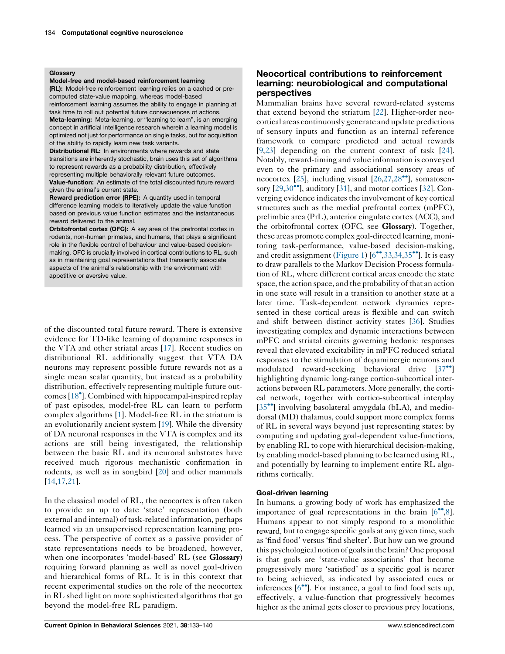#### Glossary

Model-free and model-based reinforcement learning

(RL): Model-free reinforcement learning relies on a cached or precomputed state-value mapping, whereas model-based reinforcement learning assumes the ability to engage in planning at

task time to roll out potential future consequences of actions.

Meta-learning: Meta-learning, or "learning to learn", is an emerging concept in artificial intelligence research wherein a learning model is optimized not just for performance on single tasks, but for acquisition of the ability to rapidly learn new task variants.

Distributional RL: In environments where rewards and state transitions are inherently stochastic, brain uses this set of algorithms to represent rewards as a probability distribution, effectively representing multiple behaviorally relevant future outcomes. Value-function: An estimate of the total discounted future reward given the animal's current state.

Reward prediction error (RPE): A quantity used in temporal difference learning models to iteratively update the value function based on previous value function estimates and the instantaneous reward delivered to the animal.

Orbitofrontal cortex (OFC): A key area of the prefrontal cortex in rodents, non-human primates, and humans, that plays a significant role in the flexible control of behaviour and value-based decisionmaking. OFC is crucially involved in cortical contributions to RL, such as in maintaining goal representations that transiently associate aspects of the animal's relationship with the environment with appetitive or aversive value.

of the discounted total future reward. There is extensive evidence for TD-like learning of dopamine responses in the VTA and other striatal areas [\[17](#page-5-0)]. Recent studies on distributional RL additionally suggest that VTA DA neurons may represent possible future rewards not as a single mean scalar quantity, but instead as a probability distribution, effectively representing multiple future out-comes [[18](#page-5-0)<sup>\*</sup>]. Combined with hippocampal-inspired replay of past episodes, model-free RL can learn to perform complex algorithms [[1\]](#page-5-0). Model-free RL in the striatum is an evolutionarily ancient system [\[19](#page-5-0)]. While the diversity of DA neuronal responses in the VTA is complex and its actions are still being investigated, the relationship between the basic RL and its neuronal substrates have received much rigorous mechanistic confirmation in rodents, as well as in songbird [[20\]](#page-5-0) and other mammals [\[14](#page-5-0),[17,21](#page-5-0)].

In the classical model of RL, the neocortex is often taken to provide an up to date 'state' representation (both external and internal) of task-related information, perhaps learned via an unsupervised representation learning process. The perspective of cortex as a passive provider of state representations needs to be broadened, however, when one incorporates 'model-based' RL (see **Glossary**) requiring forward planning as well as novel goal-driven and hierarchical forms of RL. It is in this context that recent experimental studies on the role of the neocortex in RL shed light on more sophisticated algorithms that go beyond the model-free RL paradigm.

# Neocortical contributions to reinforcement learning: neurobiological and computational perspectives

Mammalian brains have several reward-related systems that extend beyond the striatum [[22\]](#page-5-0). Higher-order neocortical areas continuously generate andupdate predictions of sensory inputs and function as an internal reference framework to compare predicted and actual rewards [\[9](#page-5-0),[23\]](#page-6-0) depending on the current context of task [[24\]](#page-6-0). Notably, reward-timing and value information is conveyed even to the primary and associational sensory areas of neocortex  $[25]$  $[25]$ , including visual  $[26,27,28$  $[26,27,28$  $[26,27,28$ <sup>\*\*</sup>], somatosensory  $[29,30^{\bullet\bullet}]$  $[29,30^{\bullet\bullet}]$  $[29,30^{\bullet\bullet}]$ , auditory  $[31]$  $[31]$  $[31]$ , and motor cortices  $[32]$  $[32]$ . Converging evidence indicates the involvement of key cortical structures such as the medial prefrontal cortex (mPFC), prelimbic area (PrL), anterior cingulate cortex (ACC), and the orbitofrontal cortex (OFC, see Glossary). Together, these areas promote complex goal-directed learning, monitoring task-performance, value-based decision-making, and credit assignment [\(Figure](#page-2-0) 1)  $[6^{\bullet\bullet}, 33, 34, 35^{\bullet\bullet}]$ . It is easy to draw parallels to the Markov Decision Process formulation of RL, where different cortical areas encode the state space, the action space, and the probability of that an action in one state will result in a transition to another state at a later time. Task-dependent network dynamics represented in these cortical areas is flexible and can switch and shift between distinct activity states [[36](#page-6-0)]. Studies investigating complex and dynamic interactions between mPFC and striatal circuits governing hedonic responses reveal that elevated excitability in mPFC reduced striatal responses to the stimulation of dopaminergic neurons and modulated reward-seeking behavioral drive  $[37^{\bullet}]$  $[37^{\bullet}]$ highlighting dynamic long-range cortico-subcortical interactions between RL parameters. More generally, the cortical network, together with cortico-subcortical interplay [\[35](#page-6-0)<sup>••</sup>] involving basolateral amygdala (bLA), and mediodorsal (MD) thalamus, could support more complex forms of RL in several ways beyond just representing states: by computing and updating goal-dependent value-functions, by enabling RL to cope with hierarchical decision-making, by enabling model-based planning to be learned using RL, and potentially by learning to implement entire RL algorithms cortically.

## Goal-driven learning

In humans, a growing body of work has emphasized the importance of goal representations in the brain  $[6^{\bullet\bullet}, 8]$  $[6^{\bullet\bullet}, 8]$ . Humans appear to not simply respond to a monolithic reward, but to engage specific goals at any given time, such as 'find food' versus 'find shelter'. But how can we ground this psychological notion of goals in the brain? One proposal is that goals are 'state-value associations' that become progressively more 'satisfied' as a specific goal is nearer to being achieved, as indicated by associated cues or inferences  $[6\text{°}$ . For instance, a goal to find food sets up, effectively, a value-function that progressively becomes higher as the animal gets closer to previous prey locations,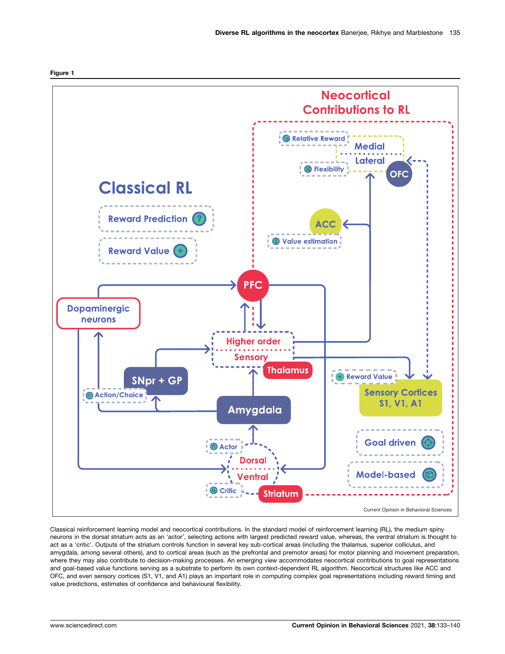

Classical reinforcement learning model and neocortical contributions. In the standard model of reinforcement learning (RL), the medium spiny neurons in the dorsal striatum acts as an 'actor', selecting actions with largest predicted reward value, whereas, the ventral striatum is thought to act as a 'critic'. Outputs of the striatum controls function in several key sub-cortical areas (including the thalamus, superior colliculus, and amygdala, among several others), and to cortical areas (such as the prefrontal and premotor areas) for motor planning and movement preparation, where they may also contribute to decision-making processes. An emerging view accommodates neocortical contributions to goal representations and goal-based value functions serving as a substrate to perform its own context-dependent RL algorithm. Neocortical structures like ACC and OFC, and even sensory cortices (S1, V1, and A1) plays an important role in computing complex goal representations including reward timing and value predictions, estimates of confidence and behavioural flexibility.

<span id="page-2-0"></span>Figure 1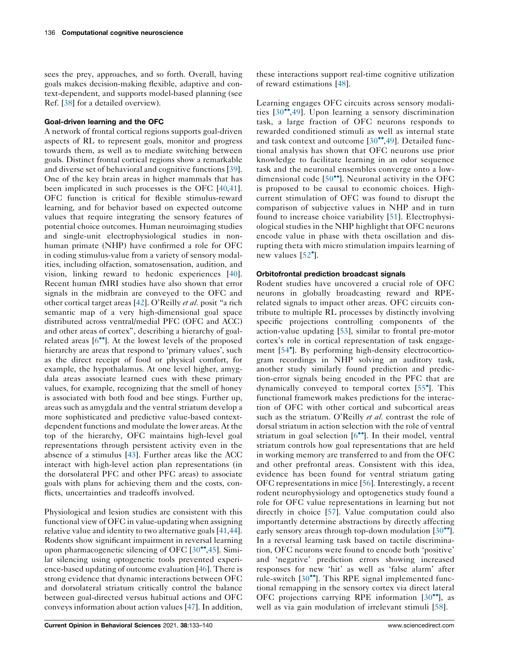sees the prey, approaches, and so forth. Overall, having goals makes decision-making flexible, adaptive and context-dependent, and supports model-based planning (see Ref. [[38\]](#page-6-0) for a detailed overview).

### Goal-driven learning and the OFC

A network of frontal cortical regions supports goal-driven aspects of RL to represent goals, monitor and progress towards them, as well as to mediate switching between goals. Distinct frontal cortical regions show a remarkable and diverse set of behavioral and cognitive functions [\[39](#page-6-0)]. One of the key brain areas in higher mammals that has been implicated in such processes is the OFC [[40,41](#page-6-0)]. OFC function is critical for flexible stimulus-reward learning, and for behavior based on expected outcome values that require integrating the sensory features of potential choice outcomes. Human neuroimaging studies and single-unit electrophysiological studies in nonhuman primate (NHP) have confirmed a role for OFC in coding stimulus-value from a variety of sensory modalities, including olfaction, somatosensation, audition, and vision, linking reward to hedonic experiences [\[40](#page-6-0)]. Recent human fMRI studies have also shown that error signals in the midbrain are conveyed to the OFC and other cortical target areas [\[42](#page-6-0)]. O'Reilly et al. posit "a rich semantic map of a very high-dimensional goal space distributed across ventral/medial PFC (OFC and ACC) and other areas of cortex", describing a hierarchy of goalrelated areas  $[6\degree]$ . At the lowest levels of the proposed hierarchy are areas that respond to 'primary values', such as the direct receipt of food or physical comfort, for example, the hypothalamus. At one level higher, amygdala areas associate learned cues with these primary values, for example, recognizing that the smell of honey is associated with both food and bee stings. Further up, areas such as amygdala and the ventral striatum develop a more sophisticated and predictive value-based contextdependent functions and modulate the lower areas. At the top of the hierarchy, OFC maintains high-level goal representations through persistent activity even in the absence of a stimulus [[43\]](#page-6-0). Further areas like the ACC interact with high-level action plan representations (in the dorsolateral PFC and other PFC areas) to associate goals with plans for achieving them and the costs, conflicts, uncertainties and tradeoffs involved.

Physiological and lesion studies are consistent with this functional view of OFC in value-updating when assigning relative value and identity to two alternative goals [[41,44](#page-6-0)]. Rodents show significant impairment in reversal learning upon pharmacogenetic silencing of OFC  $[30\text{''}, 45]$  $[30\text{''}, 45]$  $[30\text{''}, 45]$ . Similar silencing using optogenetic tools prevented experience-based updating of outcome evaluation [\[46](#page-6-0)]. There is strong evidence that dynamic interactions between OFC and dorsolateral striatum critically control the balance between goal-directed versus habitual actions and OFC conveys information about action values [\[47](#page-6-0)]. In addition,

these interactions support real-time cognitive utilization of reward estimations [[48\]](#page-6-0).

Learning engages OFC circuits across sensory modalities  $[30\text{''},49]$  $[30\text{''},49]$  $[30\text{''},49]$ . Upon learning a sensory discrimination task, a large fraction of OFC neurons responds to rewarded conditioned stimuli as well as internal state and task context and outcome  $[30^{\bullet \bullet}, 49]$  $[30^{\bullet \bullet}, 49]$ . Detailed functional analysis has shown that OFC neurons use prior knowledge to facilitate learning in an odor sequence task and the neuronal ensembles converge onto a lowdimensional code  $[50^{\bullet\bullet}]$  $[50^{\bullet\bullet}]$ . Neuronal activity in the OFC is proposed to be causal to economic choices. Highcurrent stimulation of OFC was found to disrupt the comparison of subjective values in NHP and in turn found to increase choice variability [[51](#page-6-0)]. Electrophysiological studies in the NHP highlight that OFC neurons encode value in phase with theta oscillation and disrupting theta with micro stimulation impairs learning of new values [\[52](#page-6-0)<sup>°</sup>].

### Orbitofrontal prediction broadcast signals

Rodent studies have uncovered a crucial role of OFC neurons in globally broadcasting reward and RPErelated signals to impact other areas. OFC circuits contribute to multiple RL processes by distinctly involving specific projections controlling components of the action-value updating [\[53\]](#page-6-0), similar to frontal pre-motor cortex's role in cortical representation of task engagement [[54](#page-6-0) ]. By performing high-density electrocorticogram recordings in NHP solving an auditory task, another study similarly found prediction and prediction-error signals being encoded in the PFC that are dynamically conveyed to temporal cortex [[55](#page-6-0) ]. This functional framework makes predictions for the interaction of OFC with other cortical and subcortical areas such as the striatum. O'Reilly *et al.* contrast the role of dorsal striatum in action selection with the role of ventral striatum in goal selection  $[6\text{°}$ . In their model, ventral striatum controls how goal representations that are held in working memory are transferred to and from the OFC and other prefrontal areas. Consistent with this idea, evidence has been found for ventral striatum gating OFC representations in mice [[56\]](#page-7-0). Interestingly, a recent rodent neurophysiology and optogenetics study found a role for OFC value representations in learning but not directly in choice [[57\]](#page-7-0). Value computation could also importantly determine abstractions by directly affecting early sensory areas through top-down modulation  $[30\degree]$  $[30\degree]$ . In a reversal learning task based on tactile discrimination, OFC neurons were found to encode both 'positive' and 'negative' prediction errors showing increased responses for new 'hit' as well as 'false alarm' after rule-switch  $[30\text{°}$  $[30\text{°}$  $[30\text{°}$ . This RPE signal implemented functional remapping in the sensory cortex via direct lateral OFC projections carrying RPE information  $[30\degree]$  $[30\degree]$  $[30\degree]$ , as well as via gain modulation of irrelevant stimuli [[58\]](#page-7-0).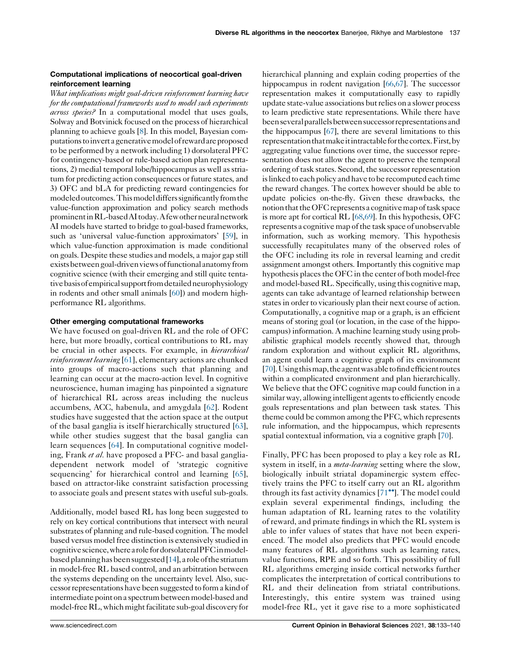## Computational implications of neocortical goal-driven reinforcement learning

What implications might goal-driven reinforcement learning have for the computational frameworks used to model such experiments across species? In a computational model that uses goals, Solway and Botvinick focused on the process of hierarchical planning to achieve goals [\[8](#page-5-0)]. In this model, Bayesian computations toinverta generativemodelof rewardare proposed to be performed by a network including 1) dorsolateral PFC for contingency-based or rule-based action plan representations, 2) medial temporal lobe/hippocampus as well as striatum for predicting action consequences or future states, and 3) OFC and bLA for predicting reward contingencies for modeled outcomes. This model differs significantly from the value-function approximation and policy search methods prominentinRL-basedAI today.A fewotherneuralnetwork AI models have started to bridge to goal-based frameworks, such as 'universal value-function approximators' [\[59](#page-7-0)], in which value-function approximation is made conditional on goals. Despite these studies and models, a major gap still exists between goal-driven views of functional anatomy from cognitive science (with their emerging and still quite tentative basis of empirical support from detailed neurophysiology in rodents and other small animals [\[60](#page-7-0)]) and modern highperformance RL algorithms.

## Other emerging computational frameworks

We have focused on goal-driven RL and the role of OFC here, but more broadly, cortical contributions to RL may be crucial in other aspects. For example, in *hierarchical* reinforcement learning [[61\]](#page-7-0), elementary actions are chunked into groups of macro-actions such that planning and learning can occur at the macro-action level. In cognitive neuroscience, human imaging has pinpointed a signature of hierarchical RL across areas including the nucleus accumbens, ACC, habenula, and amygdala [[62\]](#page-7-0). Rodent studies have suggested that the action space at the output of the basal ganglia is itself hierarchically structured [\[63](#page-7-0)], while other studies suggest that the basal ganglia can learn sequences [[64\]](#page-7-0). In computational cognitive modeling, Frank et al. have proposed a PFC- and basal gangliadependent network model of 'strategic cognitive sequencing' for hierarchical control and learning [\[65](#page-7-0)], based on attractor-like constraint satisfaction processing to associate goals and present states with useful sub-goals.

Additionally, model based RL has long been suggested to rely on key cortical contributions that intersect with neural substrates of planning and rule-based cognition. The model based versus model free distinction is extensively studied in cognitivescience,wherea role fordorsolateralPFCinmodelbased planning has been suggested [\[14](#page-5-0)], a role of the striatum in model-free RL based control, and an arbitration between the systems depending on the uncertainty level. Also, successorrepresentations have been suggested to form a kind of intermediate point on a spectrum between model-based and model-free RL, which might facilitate sub-goal discovery for hierarchical planning and explain coding properties of the hippocampus in rodent navigation [\[66,67\]](#page-7-0). The successor representation makes it computationally easy to rapidly update state-value associations butrelies ona slower process to learn predictive state representations. While there have beenseveralparallelsbetween successor representationsand the hippocampus [[67\]](#page-7-0), there are several limitations to this representationthatmakeitintractable for thecortex.First,by aggregating value functions over time, the successor representation does not allow the agent to preserve the temporal ordering of task states. Second, the successor representation is linked to each policy and have to be recomputed each time the reward changes. The cortex however should be able to update policies on-the-fly. Given these drawbacks, the notion that the OFC represents a cognitive map of task space is more apt for cortical RL [\[68,69](#page-7-0)]. In this hypothesis, OFC represents a cognitive map ofthe task space of unobservable information, such as working memory. This hypothesis successfully recapitulates many of the observed roles of the OFC including its role in reversal learning and credit assignment amongst others. Importantly this cognitive map hypothesis places the OFC in the center of both model-free and model-based RL. Specifically, using this cognitive map, agents can take advantage of learned relationship between states in order to vicariously plan their next course of action. Computationally, a cognitive map or a graph, is an efficient means of storing goal (or location, in the case of the hippocampus) information. A machine learning study using probabilistic graphical models recently showed that, through random exploration and without explicit RL algorithms, an agent could learn a cognitive graph of its environment [\[70](#page-7-0)]. Using this map, the agent was able to find efficient routes within a complicated environment and plan hierarchically. We believe that the OFC cognitive map could function in a similar way, allowing intelligent agents to efficiently encode goals representations and plan between task states. This theme could be common among the PFC, which represents rule information, and the hippocampus, which represents spatial contextual information, via a cognitive graph [[70](#page-7-0)].

Finally, PFC has been proposed to play a key role as RL system in itself, in a *meta-learning* setting where the slow, biologically inbuilt striatal dopaminergic system effectively trains the PFC to itself carry out an RL algorithm through its fast activity dynamics  $[71$ <sup> $\degree$ </sup>. The model could explain several experimental findings, including the human adaptation of RL learning rates to the volatility of reward, and primate findings in which the RL system is able to infer values of states that have not been experienced. The model also predicts that PFC would encode many features of RL algorithms such as learning rates, value functions, RPE and so forth. This possibility of full RL algorithms emerging inside cortical networks further complicates the interpretation of cortical contributions to RL and their delineation from striatal contributions. Interestingly, this entire system was trained using model-free RL, yet it gave rise to a more sophisticated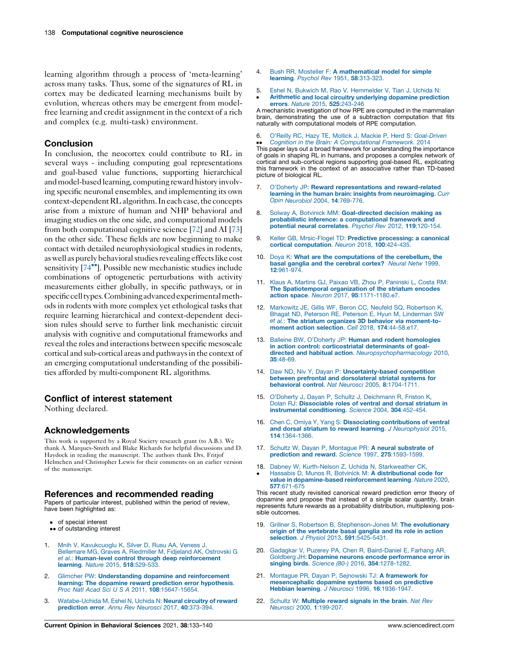<span id="page-5-0"></span>learning algorithm through a process of 'meta-learning' across many tasks. Thus, some of the signatures of RL in cortex may be dedicated learning mechanisms built by evolution, whereas others may be emergent from modelfree learning and credit assignment in the context of a rich and complex (e.g. multi-task) environment.

#### **Conclusion**

In conclusion, the neocortex could contribute to RL in several ways - including computing goal representations and goal-based value functions, supporting hierarchical and model-based learning, computing reward history involving specific neuronal ensembles, and implementing its own context-dependent RL algorithm. In each case, the concepts arise from a mixture of human and NHP behavioral and imaging studies on the one side, and computational models from both computational cognitive science [[72\]](#page-7-0) and AI [\[73\]](#page-7-0) on the other side. These fields are now beginning to make contact with detailed neurophysiological studies in rodents, as well as purely behavioral studies revealing effects like cost sensitivity  $[74^{\bullet\bullet}]$  $[74^{\bullet\bullet}]$ . Possible new mechanistic studies include combinations of optogenetic perturbations with activity measurements either globally, in specific pathways, or in specific cell types. Combining advanced experimental methods in rodents with more complex yet ethological tasks that require learning hierarchical and context-dependent decision rules should serve to further link mechanistic circuit analysis with cognitive and computational frameworks and reveal the roles and interactions between specific mesoscale cortical and sub-cortical areas and pathwaysin the context of an emerging computational understanding of the possibilities afforded by multi-component RL algorithms.

#### Conflict of interest statement

Nothing declared.

#### Acknowledgements

This work is supported by a Royal Society research grant (to A.B.). We thank A. Marques-Smith and Blake Richards for helpful discussions and D. Haydock in reading the manuscript. The authors thank Drs. Fritjof Helmchen and Christopher Lewis for their comments on an earlier version of the manuscript.

#### References and recommended reading

Papers of particular interest, published within the period of review, have been highlighted as:

- of special interest
- •• of outstanding interest
- 1. Mnih V, [Kavukcuoglu](http://refhub.elsevier.com/S2352-1546(21)00041-3/sbref0005) K, Silver D, Rusu AA, Veness J, [Bellemare](http://refhub.elsevier.com/S2352-1546(21)00041-3/sbref0005) MG, Graves A, Riedmiller M, Fidjeland AK, Ostrovski G et al.: Human-level control through deep [reinforcement](http://refhub.elsevier.com/S2352-1546(21)00041-3/sbref0005) learning. Nature 2015, 518[:529-533.](http://refhub.elsevier.com/S2352-1546(21)00041-3/sbref0005)
- 2. Glimcher PW: [Understanding](http://refhub.elsevier.com/S2352-1546(21)00041-3/sbref0010) dopamine and reinforcement learning: The dopamine reward prediction error [hypothesis](http://refhub.elsevier.com/S2352-1546(21)00041-3/sbref0010). Proc Natl Acad Sci U S A 2011, 108[:15647-15654.](http://refhub.elsevier.com/S2352-1546(21)00041-3/sbref0010)
- [Watabe-Uchida](http://refhub.elsevier.com/S2352-1546(21)00041-3/sbref0015) M, Eshel N, Uchida N: Neural circuitry of reward [prediction](http://refhub.elsevier.com/S2352-1546(21)00041-3/sbref0015) error. Annu Rev Neurosci 2017, 40:373-394.
- 4. Bush RR, Mosteller F: A [mathematical](http://refhub.elsevier.com/S2352-1546(21)00041-3/sbref0020) model for simple learning. Psychol Rev 1951, 58[:313-323.](http://refhub.elsevier.com/S2352-1546(21)00041-3/sbref0020)
- 5. Eshel N, Bukwich M, Rao V, [Hemmelder](http://refhub.elsevier.com/S2352-1546(21)00041-3/sbref0025) V, Tian J, Uchida N:
- $\cdot$ Arithmetic and local circuitry [underlying](http://refhub.elsevier.com/S2352-1546(21)00041-3/sbref0025) dopamine prediction errors. Nature 2015, 525[:243-246](http://refhub.elsevier.com/S2352-1546(21)00041-3/sbref0025)

A mechanistic investigation of how RPE are computed in the mammalian brain, demonstrating the use of a subtraction computation that fits naturally with computational models of RPE computation.

6. O'Reilly RC, Hazy TE, Mollick J, Mackie P, Herd S: [Goal-Driven](http://refhub.elsevier.com/S2352-1546(21)00041-3/sbref0030) Cognition in the Brain: A [Computational](http://refhub.elsevier.com/S2352-1546(21)00041-3/sbref0030) Framework. 2014

• Cognition in the Brain: A Computational Framework. 2014<br>This paper lays out a broad framework for understanding the importance of goals in shaping RL in humans, and proposes a complex network of cortical and sub-cortical regions supporting goal-based RL, explicating this framework in the context of an associative rather than TD-based picture of biological RL.

- 7. O'Doherty JP: Reward [representations](http://refhub.elsevier.com/S2352-1546(21)00041-3/sbref0035) and reward-related learning in the human brain: insights from [neuroimaging](http://refhub.elsevier.com/S2352-1546(21)00041-3/sbref0035). Curr Opin [Neurobiol](http://refhub.elsevier.com/S2352-1546(21)00041-3/sbref0035) 2004, 14:769-776.
- 8. Solway A, Botvinick MM: [Goal-directed](http://refhub.elsevier.com/S2352-1546(21)00041-3/sbref0040) decision making as probabilistic inference: a [computational](http://refhub.elsevier.com/S2352-1546(21)00041-3/sbref0040) framework and potential neural [correlates](http://refhub.elsevier.com/S2352-1546(21)00041-3/sbref0040). Psychol Rev 2012, 119:120-154.
- 9. Keller GB, Mrsic-Flogel TD: Predictive [processing:](http://refhub.elsevier.com/S2352-1546(21)00041-3/sbref0045) a canonical cortical [computation](http://refhub.elsevier.com/S2352-1546(21)00041-3/sbref0045). Neuron 2018, 100:424-435.
- 10. Doya K: What are the [computations](http://refhub.elsevier.com/S2352-1546(21)00041-3/sbref0050) of the cerebellum, the basal ganglia and the [cerebral](http://refhub.elsevier.com/S2352-1546(21)00041-3/sbref0050) cortex? Neural Netw 1999, 12[:961-974.](http://refhub.elsevier.com/S2352-1546(21)00041-3/sbref0050)
- 11. Klaus A, Martins GJ, Paixao VB, Zhou P, [Paninski](http://refhub.elsevier.com/S2352-1546(21)00041-3/sbref0055) L, Costa RM: The [Spatiotemporal](http://refhub.elsevier.com/S2352-1546(21)00041-3/sbref0055) organization of the striatum encodes action space. Neuron 2017, 95[:1171-1180.e7.](http://refhub.elsevier.com/S2352-1546(21)00041-3/sbref0055)
- 12. Markowitz JE, Gillis WF, Beron CC, Neufeld SQ, [Robertson](http://refhub.elsevier.com/S2352-1546(21)00041-3/sbref0060) K, Bhagat ND, Peterson RE, Peterson E, Hyun M, [Linderman](http://refhub.elsevier.com/S2352-1546(21)00041-3/sbref0060) SW et al.: The striatum organizes 3D behavior via [moment-to](http://refhub.elsevier.com/S2352-1546(21)00041-3/sbref0060)moment action selection. Cell 2018, 174[:44-58.e17.](http://refhub.elsevier.com/S2352-1546(21)00041-3/sbref0060)
- 13. Balleine BW, O'Doherty JP: Human and rodent [homologies](http://refhub.elsevier.com/S2352-1546(21)00041-3/sbref0065) in action control: [corticostriatal](http://refhub.elsevier.com/S2352-1546(21)00041-3/sbref0065) determinants of goaldirected and habitual action. [Neuropsychopharmacology](http://refhub.elsevier.com/S2352-1546(21)00041-3/sbref0065) 2010, 35[:48-69.](http://refhub.elsevier.com/S2352-1546(21)00041-3/sbref0065)
- 14. Daw ND, Niv Y, Dayan P: [Uncertainty-based](http://refhub.elsevier.com/S2352-1546(21)00041-3/sbref0070) competition between prefrontal and [dorsolateral](http://refhub.elsevier.com/S2352-1546(21)00041-3/sbref0070) striatal systems for behavioral control. Nat Neurosci 2005, 8[:1704-1711.](http://refhub.elsevier.com/S2352-1546(21)00041-3/sbref0070)
- 15. O'Doherty J, Dayan P, Schultz J, [Deichmann](http://refhub.elsevier.com/S2352-1546(21)00041-3/sbref0075) R, Friston K, Dolan RJ: [Dissociable](http://refhub.elsevier.com/S2352-1546(21)00041-3/sbref0075) roles of ventral and dorsal striatum in instrumental [conditioning](http://refhub.elsevier.com/S2352-1546(21)00041-3/sbref0075). Science 2004, 304:452-454.
- 16. Chen C, Omiya Y, Yang S: Dissociating [contributions](http://refhub.elsevier.com/S2352-1546(21)00041-3/sbref0080) of ventral and dorsal striatum to reward learning. J [Neurophysiol](http://refhub.elsevier.com/S2352-1546(21)00041-3/sbref0080) 2015, 114[:1364-1366.](http://refhub.elsevier.com/S2352-1546(21)00041-3/sbref0080)
- 17. Schultz W, Dayan P, Montague PR: A neural [substrate](http://refhub.elsevier.com/S2352-1546(21)00041-3/sbref0085) of prediction and reward. Science 1997, 275[:1593-1599.](http://refhub.elsevier.com/S2352-1546(21)00041-3/sbref0085)
- 18. Dabney W, Kurth-Nelson Z, Uchida N, [Starkweather](http://refhub.elsevier.com/S2352-1546(21)00041-3/sbref0090) CK,
- $\cdot$ Hassabis D, Munos R, Botvinick M: A [distributional](http://refhub.elsevier.com/S2352-1546(21)00041-3/sbref0090) code for value in [dopamine-based](http://refhub.elsevier.com/S2352-1546(21)00041-3/sbref0090) reinforcement learning. Nature 2020, 577[:671-675](http://refhub.elsevier.com/S2352-1546(21)00041-3/sbref0090)

This recent study revisited canonical reward prediction error theory of dopamine and propose that instead of a single scalar quantity, brain represents future rewards as a probability distribution, multiplexing possible outcomes.

- 19. Grillner S, Robertson B, [Stephenson-Jones](http://refhub.elsevier.com/S2352-1546(21)00041-3/sbref0095) M: The evolutionary origin of the [vertebrate](http://refhub.elsevier.com/S2352-1546(21)00041-3/sbref0095) basal ganglia and its role in action selection. J Physiol 2013, 591[:5425-5431.](http://refhub.elsevier.com/S2352-1546(21)00041-3/sbref0095)
- 20. Gadagkar V, Puzerey PA, Chen R, [Baird-Daniel](http://refhub.elsevier.com/S2352-1546(21)00041-3/sbref0100) E, Farhang AR,<br>Goldberg JH: Dopamine neurons encode [performance](http://refhub.elsevier.com/S2352-1546(21)00041-3/sbref0100) error in singing birds. Science (80-) 2016, 354[:1278-1282.](http://refhub.elsevier.com/S2352-1546(21)00041-3/sbref0100)
- 21. Montague PR, Dayan P, Sejnowski TJ: A [framework](http://refhub.elsevier.com/S2352-1546(21)00041-3/sbref0105) for [mesencephalic](http://refhub.elsevier.com/S2352-1546(21)00041-3/sbref0105) dopamine systems based on predictive Hebbian learning. J Neurosci 1996, 16[:1936-1947.](http://refhub.elsevier.com/S2352-1546(21)00041-3/sbref0105)
- 22. Schultz W: [Multiple](http://refhub.elsevier.com/S2352-1546(21)00041-3/sbref0110) reward signals in the brain. Nat Rev Neurosci 2000, 1[:199-207.](http://refhub.elsevier.com/S2352-1546(21)00041-3/sbref0110)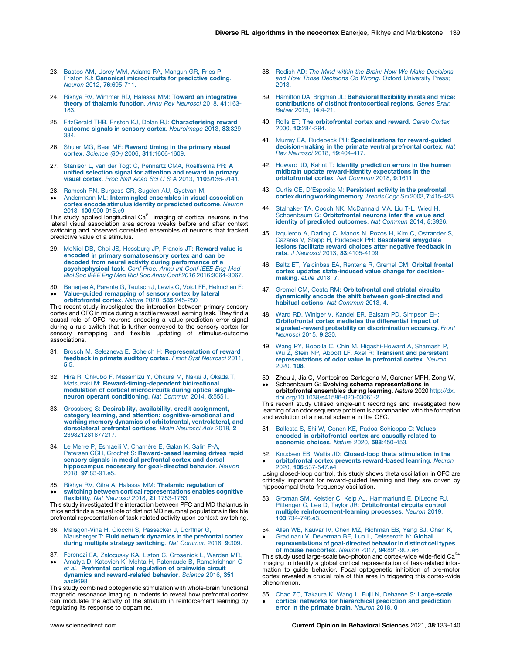- <span id="page-6-0"></span>23. Bastos AM, Usrey WM, Adams RA, [Mangun](http://refhub.elsevier.com/S2352-1546(21)00041-3/sbref0115) GR, Fries P, Friston KJ: Canonical [microcircuits](http://refhub.elsevier.com/S2352-1546(21)00041-3/sbref0115) for predictive coding. Neuron 2012, 76[:695-711.](http://refhub.elsevier.com/S2352-1546(21)00041-3/sbref0115)
- 24. Rikhye RV, Wimmer RD, Halassa MM: Toward an [integrative](http://refhub.elsevier.com/S2352-1546(21)00041-3/sbref0120) theory of [thalamic](http://refhub.elsevier.com/S2352-1546(21)00041-3/sbref0120) function. Annu Rev Neurosci 2018, 41:163- [183.](http://refhub.elsevier.com/S2352-1546(21)00041-3/sbref0120)
- 25. FitzGerald THB, Friston KJ, Dolan RJ: [Characterising](http://refhub.elsevier.com/S2352-1546(21)00041-3/sbref0125) reward outcome signals in sensory cortex. [Neuroimage](http://refhub.elsevier.com/S2352-1546(21)00041-3/sbref0125) 2013, 83:329- [334.](http://refhub.elsevier.com/S2352-1546(21)00041-3/sbref0125)
- 26. Shuler MG, Bear MF: [Reward](http://refhub.elsevier.com/S2352-1546(21)00041-3/sbref0130) timing in the primary visual cortex. Science (80-) 2006, 311[:1606-1609.](http://refhub.elsevier.com/S2352-1546(21)00041-3/sbref0130)
- 27. Stanisor L, van der Togt C, Pennartz CMA, [Roelfsema](http://refhub.elsevier.com/S2352-1546(21)00041-3/sbref0135) PR: A unified [selection](http://refhub.elsevier.com/S2352-1546(21)00041-3/sbref0135) signal for attention and reward in primary visual cortex. Proc Natl Acad Sci U S A 2013, 110[:9136-9141.](http://refhub.elsevier.com/S2352-1546(21)00041-3/sbref0135)
- 28. Ramesh RN, Burgess CR, Sugden AU, [Gyetvan](http://refhub.elsevier.com/S2352-1546(21)00041-3/sbref0140) M,
- $\ddot{\phantom{0}}$ Andermann ML: [Intermingled](http://refhub.elsevier.com/S2352-1546(21)00041-3/sbref0140) ensembles in visual association cortex encode stimulus identity or [predicted](http://refhub.elsevier.com/S2352-1546(21)00041-3/sbref0140) outcome. Neuron 2018, 100[:900-915.e9](http://refhub.elsevier.com/S2352-1546(21)00041-3/sbref0140)

This study applied longitudinal  $Ca<sup>2+</sup>$  imaging of cortical neurons in the lateral visual association area across weeks before and after context switching and observed correlated ensembles of neurons that tracked predictive value of a stimulus.

- 29. McNiel DB, Choi JS, [Hessburg](http://refhub.elsevier.com/S2352-1546(21)00041-3/sbref0145) JP, Francis JT: Reward value is encoded in primary [somatosensory](http://refhub.elsevier.com/S2352-1546(21)00041-3/sbref0145) cortex and can be decoded from neural activity during [performance](http://refhub.elsevier.com/S2352-1546(21)00041-3/sbref0145) of a **[psychophysical](http://refhub.elsevier.com/S2352-1546(21)00041-3/sbref0145) task**. Conf Proc. Annu Int Conf IEEE Eng Med<br>Biol Soc IEEE Eng Med Biol Soc Annu Conf 2016 [2016:3064-3067.](http://refhub.elsevier.com/S2352-1546(21)00041-3/sbref0145)
- 30. Banerjee A, Parente G, Teutsch J, Lewis C, Voigt FF, [Helmchen](http://refhub.elsevier.com/S2352-1546(21)00041-3/sbref0150) F:  $\ddot{\phantom{0}}$ [Value-guided](http://refhub.elsevier.com/S2352-1546(21)00041-3/sbref0150) remapping of sensory cortex by lateral [orbitofrontal](http://refhub.elsevier.com/S2352-1546(21)00041-3/sbref0150) cortex. Nature 2020, 585:245-250

This recent study investigated the interaction between primary sensory cortex and OFC in mice during a tactile reversal learning task. They find a causal role of OFC neurons encoding a value-prediction error signal during a rule-switch that is further conveyed to the sensory cortex for sensory remapping and flexible updating of stimulus-outcome associations.

- 31. Brosch M, Selezneva E, Scheich H: [Representation](http://refhub.elsevier.com/S2352-1546(21)00041-3/sbref0155) of reward [feedback](http://refhub.elsevier.com/S2352-1546(21)00041-3/sbref0155) in primate auditory cortex. Front Syst Neurosci 2011, 5[:5.](http://refhub.elsevier.com/S2352-1546(21)00041-3/sbref0155)
- 32. Hira R, Ohkubo F, [Masamizu](http://refhub.elsevier.com/S2352-1546(21)00041-3/sbref0160) Y, Ohkura M, Nakai J, Okada T, Matsuzaki M: [Reward-timing-dependent](http://refhub.elsevier.com/S2352-1546(21)00041-3/sbref0160) bidirectional modulation of cortical [microcircuits](http://refhub.elsevier.com/S2352-1546(21)00041-3/sbref0160) during optical singleneuron operant [conditioning](http://refhub.elsevier.com/S2352-1546(21)00041-3/sbref0160). Nat Commun 2014, 5:5551.
- 33. Grossberg S: Desirability, availability, credit [assignment,](http://refhub.elsevier.com/S2352-1546(21)00041-3/sbref0165) category learning, and attention: [cognitive-emotional](http://refhub.elsevier.com/S2352-1546(21)00041-3/sbref0165) and working memory dynamics of orbitofrontal, [ventrolateral,](http://refhub.elsevier.com/S2352-1546(21)00041-3/sbref0165) and [dorsolateral](http://refhub.elsevier.com/S2352-1546(21)00041-3/sbref0165) prefrontal cortices. Brain Neurosci Adv 2018, 2 [239821281877217.](http://refhub.elsevier.com/S2352-1546(21)00041-3/sbref0165)
- 34. Le Merre P, Esmaeili V, Charrière E, Galan K, Salin P-A, Petersen CCH, Crochet S: [Reward-based](http://refhub.elsevier.com/S2352-1546(21)00041-3/sbref0170) learning drives rapid sensory signals in medial [prefrontal](http://refhub.elsevier.com/S2352-1546(21)00041-3/sbref0170) cortex and dorsal [hippocampus](http://refhub.elsevier.com/S2352-1546(21)00041-3/sbref0170) necessary for goal-directed behavior. Neuron 2018, 97[:83-91.e5.](http://refhub.elsevier.com/S2352-1546(21)00041-3/sbref0170)
- 35. Rikhye RV, Gilra A, Halassa MM: Thalamic [regulation](http://refhub.elsevier.com/S2352-1546(21)00041-3/sbref0175) of  $\ddot{\phantom{0}}$ switching between cortical [representations](http://refhub.elsevier.com/S2352-1546(21)00041-3/sbref0175) enables cognitive flexibility. Nat Neurosci 2018, 21[:1753-1763](http://refhub.elsevier.com/S2352-1546(21)00041-3/sbref0175)

This study investigated the interaction between PFC and MD thalamus in mice and finds a causal role of distinct MD neuronal populations in flexible prefrontal representation of task-related activity upon context-switching.

- 36. [Malagon-Vina](http://refhub.elsevier.com/S2352-1546(21)00041-3/sbref0180) H, Ciocchi S, Passecker J, Dorffner G, [Klausberger](http://refhub.elsevier.com/S2352-1546(21)00041-3/sbref0180) T: Fluid network dynamics in the prefrontal cortex during multiple strategy [switching](http://refhub.elsevier.com/S2352-1546(21)00041-3/sbref0180). Nat Commun 2018, 9:309.
- 37. Ferenczi EA, [Zalocusky](http://refhub.elsevier.com/S2352-1546(21)00041-3/sbref0185) KA, Liston C, Grosenick L, Warden MR,
- $\ddot{\phantom{0}}$ Amatya D, Katovich K, Mehta H, Patenaude B, [Ramakrishnan](http://refhub.elsevier.com/S2352-1546(21)00041-3/sbref0185) C et al.: Prefrontal cortical [regulation](http://refhub.elsevier.com/S2352-1546(21)00041-3/sbref0185) of brainwide circuit dynamics and [reward-related](http://refhub.elsevier.com/S2352-1546(21)00041-3/sbref0185) behavior. Science 2016, 351 [aac9698](http://refhub.elsevier.com/S2352-1546(21)00041-3/sbref0185)

This study combined optogenetic stimulation with whole-brain functional magnetic resonance imaging in rodents to reveal how prefrontal cortex can modulate the activity of the striatum in reinforcement learning by regulating its response to dopamine.

- 38. Redish AD: The Mind within the Brain: How We Make [Decisions](http://refhub.elsevier.com/S2352-1546(21)00041-3/sbref0190) and How Those Decisions Go Wrong. Oxford [University](http://refhub.elsevier.com/S2352-1546(21)00041-3/sbref0190) Press; [2013.](http://refhub.elsevier.com/S2352-1546(21)00041-3/sbref0190)
- 39. Hamilton DA, Brigman JL: [Behavioral](http://refhub.elsevier.com/S2352-1546(21)00041-3/sbref0195) flexibility in rats and mice: contributions of distinct [frontocortical](http://refhub.elsevier.com/S2352-1546(21)00041-3/sbref0195) regions. Genes Brain [Behav](http://refhub.elsevier.com/S2352-1546(21)00041-3/sbref0195) 2015, 14:4-21.
- 40. Rolls ET: The [orbitofrontal](http://refhub.elsevier.com/S2352-1546(21)00041-3/sbref0200) cortex and reward. Cereb Cortex 2000, 10[:284-294.](http://refhub.elsevier.com/S2352-1546(21)00041-3/sbref0200)
- 41. Murray EA, Rudebeck PH: [Specializations](http://refhub.elsevier.com/S2352-1546(21)00041-3/sbref0205) for reward-quided [decision-making](http://refhub.elsevier.com/S2352-1546(21)00041-3/sbref0205) in the primate ventral prefrontal cortex. Nat Rev Neurosci 2018, 19[:404-417.](http://refhub.elsevier.com/S2352-1546(21)00041-3/sbref0205)
- 42. Howard JD, Kahnt T: Identity [prediction](http://refhub.elsevier.com/S2352-1546(21)00041-3/sbref0210) errors in the human midbrain update [reward-identity](http://refhub.elsevier.com/S2352-1546(21)00041-3/sbref0210) expectations in the [orbitofrontal](http://refhub.elsevier.com/S2352-1546(21)00041-3/sbref0210) cortex. Nat Commun 2018, 9:1611.
- 43. Curtis CE, [D'Esposito](http://refhub.elsevier.com/S2352-1546(21)00041-3/sbref0215) M: Persistent activity in the prefrontal cortex during working memory. Trends Cogn Sci2003, 7:415-423.
- 44. Stalnaker TA, Cooch NK, [McDannald](http://refhub.elsevier.com/S2352-1546(21)00041-3/sbref0220) MA, Liu T-L, Wied H, Schoenbaum G: [Orbitofrontal](http://refhub.elsevier.com/S2352-1546(21)00041-3/sbref0220) neurons infer the value and identity of predicted [outcomes](http://refhub.elsevier.com/S2352-1546(21)00041-3/sbref0220). Nat Commun 2014, 5:3926.
- 45. Izquierdo A, Darling C, Manos N, Pozos H, Kim C, [Ostrander](http://refhub.elsevier.com/S2352-1546(21)00041-3/sbref0225) S, Cazares V, Stepp H, Rudebeck PH: [Basolateral](http://refhub.elsevier.com/S2352-1546(21)00041-3/sbref0225) amygdala lesions facilitate reward choices after negative [feedback](http://refhub.elsevier.com/S2352-1546(21)00041-3/sbref0225) in rats. J Neurosci 2013, 33[:4105-4109.](http://refhub.elsevier.com/S2352-1546(21)00041-3/sbref0225)
- 46. Baltz ET, [Yalcinbas](http://refhub.elsevier.com/S2352-1546(21)00041-3/sbref0230) EA, Renteria R, Gremel CM: Orbital frontal cortex updates [state-induced](http://refhub.elsevier.com/S2352-1546(21)00041-3/sbref0230) value change for decision[making](http://refhub.elsevier.com/S2352-1546(21)00041-3/sbref0230). eLife 2018, 7.
- 47. Gremel CM, Costa RM: [Orbitofrontal](http://refhub.elsevier.com/S2352-1546(21)00041-3/sbref0235) and striatal circuits dynamically encode the shift between [goal-directed](http://refhub.elsevier.com/S2352-1546(21)00041-3/sbref0235) and habitual actions. Nat [Commun](http://refhub.elsevier.com/S2352-1546(21)00041-3/sbref0235) 2013, 4.
- 48. Ward RD, Winiger V, Kandel ER, Balsam PD, [Simpson](http://refhub.elsevier.com/S2352-1546(21)00041-3/sbref0240) EH: [Orbitofrontal](http://refhub.elsevier.com/S2352-1546(21)00041-3/sbref0240) cortex mediates the differential impact of [signaled-reward](http://refhub.elsevier.com/S2352-1546(21)00041-3/sbref0240) probability on discrimination accuracy. Front [Neurosci](http://refhub.elsevier.com/S2352-1546(21)00041-3/sbref0240) 2015, 9:230.
- 49. Wang PY, Boboila C, Chin M, [Higashi-Howard](http://refhub.elsevier.com/S2352-1546(21)00041-3/sbref0245) A, Shamash P, Wu Z, Stein NP, Abbott LF, Axel R: Transient and [persistent](http://refhub.elsevier.com/S2352-1546(21)00041-3/sbref0245) [representations](http://refhub.elsevier.com/S2352-1546(21)00041-3/sbref0245) of odor value in prefrontal cortex. Neuron [2020,](http://refhub.elsevier.com/S2352-1546(21)00041-3/sbref0245) 108.
- 50. Zhou J, Jia C, Montesinos-Cartagena M, Gardner MPH, Zong W,
- $\ddot{\phantom{0}}$ Schoenbaum G: Evolving schema representations in **orbitofrontal ensembles during learning**. *Nature* 2020 [http://dx.](http://dx.doi.org/10.1038/s41586-020-03061-2)<br>[doi.org/10.1038/s41586-020-03061-2](http://dx.doi.org/10.1038/s41586-020-03061-2)

This recent study utilised single-unit recordings and investigated how learning of an odor sequence problem is accompanied with the formation and evolution of a neural schema in the OFC.

- 51. Ballesta S, Shi W, Conen KE, [Padoa-Schioppa](http://refhub.elsevier.com/S2352-1546(21)00041-3/sbref0255) C: Values encoded in [orbitofrontal](http://refhub.elsevier.com/S2352-1546(21)00041-3/sbref0255) cortex are causally related to [economic](http://refhub.elsevier.com/S2352-1546(21)00041-3/sbref0255) choices. Nature 2020, 588:450-453.
- 52.  $\cdot$ Knudsen EB, Wallis JD: [Closed-loop](http://refhub.elsevier.com/S2352-1546(21)00041-3/sbref0260) theta stimulation in the<br>orbitofrontal cortex prevents [reward-based](http://refhub.elsevier.com/S2352-1546(21)00041-3/sbref0260) learning. Neuron 2020, 106[:537-547.e4](http://refhub.elsevier.com/S2352-1546(21)00041-3/sbref0260)

Using closed-loop control, this study shows theta oscillation in OFC are critically important for reward-guided learning and they are driven by hippocampal theta-frequency oscillation.

- 53. Groman SM, Keistler C, Keip AJ, [Hammarlund](http://refhub.elsevier.com/S2352-1546(21)00041-3/sbref0265) E, DiLeone RJ,<br>Pittenger C, Lee D, Taylor JR: **[Orbitofrontal](http://refhub.elsevier.com/S2352-1546(21)00041-3/sbref0265) circuits control** multiple [reinforcement-learning](http://refhub.elsevier.com/S2352-1546(21)00041-3/sbref0265) processes. Neuron 2019, 103[:734-746.e3.](http://refhub.elsevier.com/S2352-1546(21)00041-3/sbref0265)
- 54. Allen WE, Kauvar IV, Chen MZ, [Richman](http://refhub.elsevier.com/S2352-1546(21)00041-3/sbref0270) EB, Yang SJ, Chan K,  $\cdot$ Gradinaru V, Deverman BE, Luo L, [Deisseroth](http://refhub.elsevier.com/S2352-1546(21)00041-3/sbref0270) K: Global [representations](http://refhub.elsevier.com/S2352-1546(21)00041-3/sbref0270) of goal-directed behavior in distinct cell types

of mouse neocortex. Neuron 2017, 94[:891-907.e6](http://refhub.elsevier.com/S2352-1546(21)00041-3/sbref0270) This study used large-scale two-photon and cortex-wide wide-field Ca<sup>2+</sup> imaging to identify a global cortical representation of task-related information to guide behavior. Focal optogenetic inhibition of pre-motor cortex revealed a crucial role of this area in triggering this cortex-wide phenomenon.

55. Chao ZC, Takaura K, Wang L, Fujii N, Dehaene S: [Large-scale](http://refhub.elsevier.com/S2352-1546(21)00041-3/sbref0275)  $\bullet$ cortical networks for [hierarchical](http://refhub.elsevier.com/S2352-1546(21)00041-3/sbref0275) prediction and prediction error in the [primate](http://refhub.elsevier.com/S2352-1546(21)00041-3/sbref0275) brain. Neuron 2018, 0